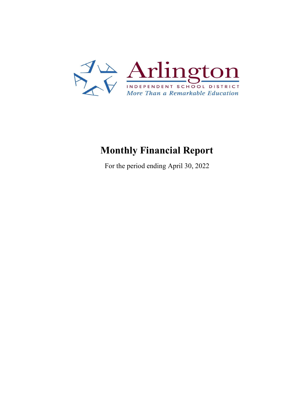

## **Monthly Financial Report**

For the period ending April 30, 2022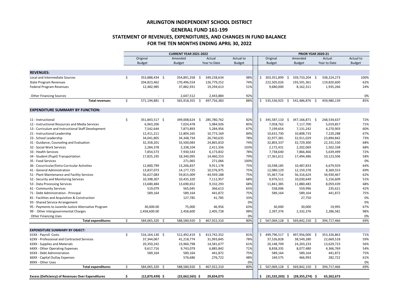|                                                          |    |                    | <b>CURRENT YEAR 2021-2022</b> |                   |               | <b>PRIOR YEAR 2020-21</b> |                     |                    |               |  |  |
|----------------------------------------------------------|----|--------------------|-------------------------------|-------------------|---------------|---------------------------|---------------------|--------------------|---------------|--|--|
|                                                          |    | Original           | Amended                       | Actual            | Actual to     | Original                  | Amended             | Actual             | Actual to     |  |  |
|                                                          |    | <b>Budget</b>      | <b>Budget</b>                 | Year to Date      | <b>Budget</b> | <b>Budget</b>             | <b>Budget</b>       | Year to Date       | <b>Budget</b> |  |  |
|                                                          |    |                    |                               |                   |               |                           |                     |                    |               |  |  |
| <b>REVENUES:</b>                                         |    |                    |                               |                   |               |                           |                     |                    |               |  |  |
| Local and Intermediate Sources                           | \$ | 353,888,434 \$     | 354,891,358 \$                | 349,238,634       | 98%           | 303,351,899               | 339,733,204 \$      | 338,224,273        | 100%          |  |  |
| <b>State Program Revenues</b>                            |    | 204,823,462        | 170,496,554                   | 126,779,252       | 74%           | 222,505,026               | 193,591,361         | 119,820,600        | 62%           |  |  |
| Federal Program Revenues                                 |    | 12,482,985         | 37,882,931                    | 19,294,613        | 51%           | 9,680,000                 | 8,162,311           | 1,935,266          | 24%           |  |  |
| <b>Other Financing Sources</b>                           |    |                    | 2,647,512                     | 2,443,884         | 92%           |                           |                     |                    | 0%            |  |  |
| <b>Total revenues</b>                                    | \$ | 571,194,881 \$     | 565,918,355                   | \$<br>497,756,383 | 88%           | 535,536,925               | 541,486,876         | 459,980,139<br>- S | 85%           |  |  |
| <b>EXPENDITURE SUMMARY BY FUNCTION:</b>                  |    |                    |                               |                   |               |                           |                     |                    |               |  |  |
|                                                          |    |                    |                               |                   |               |                           |                     |                    |               |  |  |
| 11 - Instructional                                       | \$ | 351,843,517 \$     | 349,008,624                   | 285,780,762<br>\$ | 82%           | 345,587,110 \$            | 347,166,871 \$      | 248,534,637        | 72%           |  |  |
| 12 - Instructional Resources and Media Services          |    | 6,963,206          | 7,024,478                     | 5,984,926         | 85%           | 7,058,762                 | 7,117,700           | 5,019,857          | 71%           |  |  |
| 13 - Curriculum and Instructional Staff Development      |    | 7,542,644          | 7,873,893                     | 5,284,956         | 67%           | 7,199,654                 | 7,131,242           | 4,270,903          | 60%           |  |  |
| 21 - Instructional Leadership                            |    | 12,411,211         | 12,804,165                    | 10,773,169        | 84%           | 10,631,730                | 10,808,733          | 7,220,288          | 67%           |  |  |
| 23 - School Leadership                                   |    | 34,041,805         | 34, 348, 734                  | 26,740,635        | 78%           | 32,977,381                | 32,911,029          | 23,894,842         | 73%           |  |  |
| 31 - Guidance, Counseling and Evaluation                 |    | 32,358,201         | 33,500,083                    | 24,865,810        | 74%           | 32,803,337                | 32,729,300          | 22,331,530         | 68%           |  |  |
| 32 - Social Work Services                                |    | 2,284,378          | 2,338,104                     | 2,411,356         | 103%          | 2,172,431                 | 2,202,069           | 1,502,338          | 68%           |  |  |
| 33 - Health Services                                     |    | 7,854,573          | 7,930,543                     | 6,173,832         | 78%           | 7,738,640                 | 7,866,466           | 5,639,499          | 72%           |  |  |
| 34 - Student (Pupil) Transportation                      |    | 17,825,195         | 18,340,095                    | 14,460,253        | 79%           | 17,361,611                | 17,494,486          | 10,123,506         | 58%           |  |  |
| 35 - Food Services                                       |    |                    | 271,065                       | 271,066           | 100%          |                           |                     |                    | 0%            |  |  |
| 36 - Cocurricular/Extra Curricular Activities            |    | 12,800,799         | 13,206,837                    | 9,911,178         | 75%           | 10,598,185                | 10,487,833          | 6,679,929          | 64%           |  |  |
| 41 - General Administration                              |    | 13,837,073         | 14,177,725                    | 10,576,975        | 75%           | 12,080,129                | 12,159,378          | 8,369,553          | 69%           |  |  |
| 51 - Plant Maintenance and Facility Services             |    | 56,627,083         | 59,815,009                    | 44,939,188        | 75%           | 55,467,716                | 56,316,624          | 34,930,467         | 62%           |  |  |
| 52 - Security and Monitoring Services                    |    | 10,398,307         | 10,435,320                    | 7,112,957         | 68%           | 9,976,511                 | 10,030,649          | 5,156,609          | 51%           |  |  |
| 53 - Data Processing Services                            |    | 13,680,484         | 13,690,652                    | 9,332,293         | 68%           | 11,841,385                | 11,880,483          | 8,059,439          | 68%           |  |  |
| 61 - Community Services                                  |    | 519,079            | 565,045                       | 366,613           | 65%           | 558,006                   | 559,996             | 235,621            | 42%           |  |  |
| 71 - Debt Administration - Principal                     |    | 589,164            | 589,164                       | 441,872           | 75%           | 589,164                   | 589,164             | 441,872            | 75%           |  |  |
| 81 - Facilities and Acquisition & Construction           |    |                    | 127,785                       | 41,785            | 33%           |                           | 27,750              |                    | 0%            |  |  |
| 93 - Shared Service Arrangement                          |    |                    |                               |                   | 0%            |                           |                     |                    | 0%            |  |  |
| 95 - Payments to Juvenile Justice Alternative Program    |    | 30,000.00          | 75,000                        | 46,956            | 63%           | 30,000                    | 30,000              | 19,995             | 67%           |  |  |
| 99 - Other intergovernmental Charges                     |    | 2,458,600.00       | 2,458,600                     | 2,405,728         | 98%           | 2,397,376                 | 2,332,376           | 2,286,581          | 98%           |  |  |
| <b>Other Financing Uses</b>                              |    |                    |                               |                   | 0%            |                           |                     |                    | 0%            |  |  |
| <b>Total expenditures</b>                                | Ś. | 584,065,320 \$     | 588,580,920                   | 467,922,310       | 80%           | 567,069,128               | 569,842,150         | 394,717,466        | 69%           |  |  |
| <b>EXPENDITURE SUMMARY BY OBJECT:</b>                    |    |                    |                               |                   |               |                           |                     |                    |               |  |  |
| 61XX - Payroll Costs                                     | \$ | $516, 164, 130$ \$ | 512,492,419 \$                | 413,742,352       | 81%           | 499,796,517               | 497,956,000 \$      | 353,326,863        | 71%           |  |  |
| 62XX - Professional and Contracted Services              |    | 37,344,067         | 41,218,774                    | 31,993,845        | 78%           | 37,526,828                | 38,549,280          | 22,669,518         | 59%           |  |  |
| 63XX - Supplies and Materials                            |    | 20,350,242         | 23,960,798                    | 14,581,677        | 61%           | 20,148,709                | 24,203,233          | 13,629,723         | 56%           |  |  |
| 64XX - Other Operating Expenses                          |    | 9,617,716          | 9,743,079                     | 6,885,842         | 71%           | 8,838,335                 | 8,077,480           | 4,366,769          | 54%           |  |  |
| 65XX - Debt Administration                               |    | 589,164            | 589,164                       | 441,872           | 75%           | 589,164                   | 589,164             | 441,872            | 75%           |  |  |
| 66XX - Capital Outlay Expenses                           |    |                    | 576,686                       | 276,722           | 48%           | 169,575                   | 466,993             | 282,722            | 61%           |  |  |
| 89XX - Other Uses                                        |    |                    |                               |                   | 0%            |                           |                     |                    | 0%            |  |  |
| <b>Total expenditures</b>                                | Ŝ. | 584,065,320 \$     | 588,580,920                   | 467,922,310<br>-S | 80%           | 567,069,128               | 569,842,150         | 394,717,466        | 69%           |  |  |
| <b>Excess (Deficiency) of Revenues Over Expenditures</b> |    | $(12,870,439)$ \$  | $(22,662,565)$ \$             | 29,834,073        |               | $(31,532,203)$ \$         | $(28, 355, 274)$ \$ | 65,262,673         |               |  |  |

## **ARLINGTON INDEPENDENT SCHOOL DISTRICT GENERAL FUND 161-199 STATEMENT OF REVENUES, EXPENDITURES, AND CHANGES IN FUND BALANCE FOR THE TEN MONTHS ENDING APRIL 30, 2022**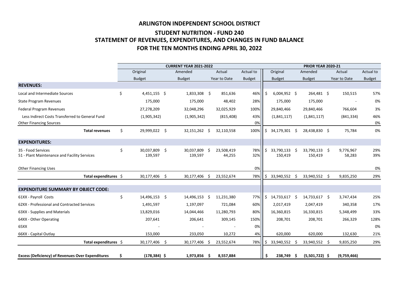## **ARLINGTON INDEPENDENT SCHOOL DISTRICT STUDENT NUTRITION - FUND 240 STATEMENT OF REVENUES, EXPENDITURES, AND CHANGES IN FUND BALANCE FOR THE TEN MONTHS ENDING APRIL 30, 2022**

|                                                                    | <b>CURRENT YEAR 2021-2022</b> |                          |             |                       |     |                      |               | <b>PRIOR YEAR 2020-21</b> |                       |         |                          |  |                     |               |
|--------------------------------------------------------------------|-------------------------------|--------------------------|-------------|-----------------------|-----|----------------------|---------------|---------------------------|-----------------------|---------|--------------------------|--|---------------------|---------------|
|                                                                    |                               | Original                 |             | Amended               |     | Actual               | Actual to     |                           | Original              |         | Amended                  |  | Actual              | Actual to     |
|                                                                    |                               | <b>Budget</b>            |             | <b>Budget</b>         |     | Year to Date         | <b>Budget</b> |                           | <b>Budget</b>         |         | <b>Budget</b>            |  | Year to Date        | <b>Budget</b> |
| <b>REVENUES:</b>                                                   |                               |                          |             |                       |     |                      |               |                           |                       |         |                          |  |                     |               |
| Local and Intermediate Sources                                     | $\zeta$                       | $4,451,155$ \$           |             | 1,833,308             | \$  | 851,636              | 46%           | \$                        | $6,004,952$ \$        |         | 264,481 \$               |  | 150,515             | 57%           |
| <b>State Program Revenues</b>                                      |                               | 175,000                  |             | 175,000               |     | 48,402               | 28%           |                           | 175,000               |         | 175,000                  |  |                     | 0%            |
| <b>Federal Program Revenues</b>                                    |                               | 27,278,209               |             | 32,048,296            |     | 32,025,929           | 100%          |                           | 29,840,466            |         | 29,840,466               |  | 766,604             | 3%            |
| Less Indirect Costs Transferred to General Fund                    |                               | (1,905,342)              |             | (1,905,342)           |     | (815, 408)           | 43%           |                           | (1,841,117)           |         | (1,841,117)              |  | (841, 334)          | 46%           |
| <b>Other Financing Sources</b>                                     |                               |                          |             |                       |     |                      | 0%            |                           |                       |         |                          |  |                     | 0%            |
| <b>Total revenues</b>                                              | \$                            | 29,999,022 \$            |             | 32,151,262            | -\$ | 32,110,558           | 100%          | \$                        | 34,179,301            | \$      | 28,438,830 \$            |  | 75,784              | 0%            |
| <b>EXPENDITURES:</b>                                               |                               |                          |             |                       |     |                      |               |                           |                       |         |                          |  |                     |               |
| 35 - Food Services<br>51 - Plant Maintenance and Facility Services | \$                            | 30,037,809 \$<br>139,597 |             | 30,037,809<br>139,597 | -\$ | 23,508,419<br>44,255 | 78%<br>32%    | \$                        | 33,790,133<br>150,419 | \$      | 33,790,133 \$<br>150,419 |  | 9,776,967<br>58,283 | 29%<br>39%    |
| <b>Other Financing Uses</b>                                        |                               |                          |             |                       |     |                      | 0%            |                           |                       |         |                          |  |                     | 0%            |
| Total expenditures $\oint$                                         |                               | 30,177,406 \$            |             | 30,177,406 \$         |     | 23,552,674           | 78%           | Ş.                        | 33,940,552            | $\zeta$ | 33,940,552 \$            |  | 9,835,250           | 29%           |
| <b>EXPENDITURE SUMMARY BY OBJECT CODE:</b>                         |                               |                          |             |                       |     |                      |               |                           |                       |         |                          |  |                     |               |
| 61XX - Payroll Costs                                               | \$                            | 14,496,153               | \$          | 14,496,153            | -\$ | 11,231,380           | 77%           | \$                        | 14,733,617            | \$      | 14,733,617 \$            |  | 3,747,434           | 25%           |
| 62XX - Professional and Contracted Services                        |                               | 1,491,597                |             | 1,197,097             |     | 721,084              | 60%           |                           | 2,017,419             |         | 2,047,419                |  | 340,358             | 17%           |
| 63XX - Supplies and Materials                                      |                               | 13,829,016               |             | 14,044,466            |     | 11,280,793           | 80%           |                           | 16,360,815            |         | 16,330,815               |  | 5,348,499           | 33%           |
| 64XX - Other Operating                                             |                               | 207,641                  |             | 206,641               |     | 309,145              | 150%          |                           | 208,701               |         | 208,701                  |  | 266,329             | 128%          |
| 65XX                                                               |                               |                          |             |                       |     |                      | 0%            |                           |                       |         |                          |  |                     | 0%            |
| 66XX - Capital Outlay                                              |                               | 153,000                  |             | 233,050               |     | 10,272               | 4%            |                           | 620,000               |         | 620,000                  |  | 132,630             | 21%           |
| Total expenditures \$                                              |                               | 30,177,406               | $\varsigma$ | 30,177,406 \$         |     | 23,552,674           | 78%           |                           | 33,940,552            | \$      | 33,940,552 \$            |  | 9,835,250           | 29%           |
| <b>Excess (Deficiency) of Revenues Over Expenditures</b>           |                               | $(178, 384)$ \$          |             | 1,973,856 \$          |     | 8,557,884            |               | \$                        | 238,749               | \$      | $(5,501,722)$ \$         |  | (9,759,466)         |               |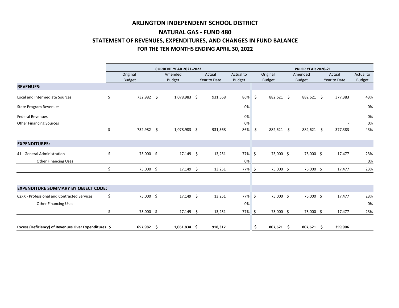|                                                      |                 |         | <b>PRIOR YEAR 2020-21</b> |              |               |         |               |  |               |  |              |               |
|------------------------------------------------------|-----------------|---------|---------------------------|--------------|---------------|---------|---------------|--|---------------|--|--------------|---------------|
|                                                      | Original        |         | Amended                   | Actual       | Actual to     |         | Original      |  | Amended       |  | Actual       | Actual to     |
|                                                      | <b>Budget</b>   |         | <b>Budget</b>             | Year to Date | <b>Budget</b> |         | <b>Budget</b> |  | <b>Budget</b> |  | Year to Date | <b>Budget</b> |
| <b>REVENUES:</b>                                     |                 |         |                           |              |               |         |               |  |               |  |              |               |
| Local and Intermediate Sources                       | \$<br>732,982   | $\zeta$ | $1,078,983$ \$            | 931,568      | 86%           | $\zeta$ | 882,621 \$    |  | 882,621 \$    |  | 377,383      | 43%           |
| <b>State Program Revenues</b>                        |                 |         |                           |              | 0%            |         |               |  |               |  |              | 0%            |
| <b>Federal Revenues</b>                              |                 |         |                           |              | 0%            |         |               |  |               |  |              | 0%            |
| <b>Other Financing Sources</b>                       |                 |         |                           |              | 0%            |         |               |  |               |  |              | 0%            |
|                                                      | \$<br>732,982   | $\zeta$ | 1,078,983 \$              | 931,568      | 86%           | $\zeta$ | 882,621 \$    |  | 882,621 \$    |  | 377,383      | 43%           |
| <b>EXPENDITURES:</b>                                 |                 |         |                           |              |               |         |               |  |               |  |              |               |
| 41 - General Administration                          | \$<br>75,000 \$ |         | $17,149$ \$               | 13,251       | 77%           | $\zeta$ | 75,000 \$     |  | 75,000 \$     |  | 17,477       | 23%           |
| <b>Other Financing Uses</b>                          |                 |         |                           |              | 0%            |         |               |  |               |  |              | 0%            |
|                                                      | 75,000 \$       |         | $17,149$ \$               | 13,251       | 77%           | -S      | 75,000 \$     |  | 75,000 \$     |  | 17,477       | 23%           |
|                                                      |                 |         |                           |              |               |         |               |  |               |  |              |               |
| <b>EXPENDITURE SUMMARY BY OBJECT CODE:</b>           |                 |         |                           |              |               |         |               |  |               |  |              |               |
| 62XX - Professional and Contracted Services          | \$<br>75,000 \$ |         | $17,149$ \$               | 13,251       | 77%           | $\zeta$ | 75,000 \$     |  | 75,000 \$     |  | 17,477       | 23%           |
| <b>Other Financing Uses</b>                          |                 |         |                           |              | 0%            |         |               |  |               |  |              | 0%            |
|                                                      | \$<br>75,000 \$ |         | $17,149$ \$               | 13,251       | 77%           | -S      | 75,000 \$     |  | 75,000 \$     |  | 17,477       | 23%           |
| Excess (Deficiency) of Revenues Over Expenditures \$ | 657,982         | \$      | $1,061,834$ \$            | 918,317      |               | -Ş      | 807,621 \$    |  | 807,621 \$    |  | 359,906      |               |

## **ARLINGTON INDEPENDENT SCHOOL DISTRICT NATURAL GAS - FUND 480 STATEMENT OF REVENUES, EXPENDITURES, AND CHANGES IN FUND BALANCE FOR THE TEN MONTHS ENDING APRIL 30, 2022**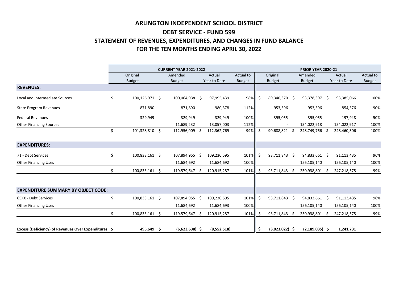# **ARLINGTON INDEPENDENT SCHOOL DISTRICT DEBT SERVICE - FUND 599 STATEMENT OF REVENUES, EXPENDITURES, AND CHANGES IN FUND BALANCE FOR THE TEN MONTHS ENDING APRIL 30, 2022**

|                                                      | <b>CURRENT YEAR 2021-2022</b> |     |                  |     |              |               |     | <b>PRIOR YEAR 2020-21</b> |    |                    |  |              |               |  |
|------------------------------------------------------|-------------------------------|-----|------------------|-----|--------------|---------------|-----|---------------------------|----|--------------------|--|--------------|---------------|--|
|                                                      | Original                      |     | Amended          |     | Actual       | Actual to     |     | Original                  |    | Amended            |  | Actual       | Actual to     |  |
|                                                      | <b>Budget</b>                 |     | <b>Budget</b>    |     | Year to Date | <b>Budget</b> |     | <b>Budget</b>             |    | <b>Budget</b>      |  | Year to Date | <b>Budget</b> |  |
| <b>REVENUES:</b>                                     |                               |     |                  |     |              |               |     |                           |    |                    |  |              |               |  |
| Local and Intermediate Sources                       | \$<br>100,126,971 \$          |     | 100,064,938 \$   |     | 97,995,439   | 98%           | \$  | 89,340,370 \$             |    | 93,378,397 \$      |  | 93,385,066   | 100%          |  |
| <b>State Program Revenues</b>                        | 871,890                       |     | 871,890          |     | 980,378      | 112%          |     | 953,396                   |    | 953,396            |  | 854,376      | 90%           |  |
| <b>Federal Revenues</b>                              | 329,949                       |     | 329,949          |     | 329,949      | 100%          |     | 395,055                   |    | 395,055            |  | 197,948      | 50%           |  |
| <b>Other Financing Sources</b>                       |                               |     | 11,689,232       |     | 13,057,003   | 112%          |     |                           |    | 154,022,918        |  | 154,022,917  | 100%          |  |
|                                                      | \$<br>101,328,810 \$          |     | 112,956,009 \$   |     | 112,362,769  | 99%           | \$  | 90,688,821 \$             |    | 248,749,766 \$     |  | 248,460,306  | 100%          |  |
| <b>EXPENDITURES:</b>                                 |                               |     |                  |     |              |               |     |                           |    |                    |  |              |               |  |
| 71 - Debt Services                                   | \$<br>100,833,161 \$          |     | 107,894,955      | -\$ | 109,230,595  | 101%          | \$  | 93,711,843 \$             |    | 94,833,661 \$      |  | 91,113,435   | 96%           |  |
| <b>Other Financing Uses</b>                          |                               |     | 11,684,692       |     | 11,684,692   | 100%          |     |                           |    | 156,105,140        |  | 156,105,140  | 100%          |  |
|                                                      | \$<br>100,833,161 \$          |     | 119,579,647      | -Ŝ  | 120,915,287  | 101%          | -S  | 93,711,843                |    | 250,938,801 \$     |  | 247,218,575  | 99%           |  |
|                                                      |                               |     |                  |     |              |               |     |                           |    |                    |  |              |               |  |
| <b>EXPENDITURE SUMMARY BY OBJECT CODE:</b>           |                               |     |                  |     |              |               |     |                           |    |                    |  |              |               |  |
| 65XX - Debt Services                                 | \$<br>100,833,161 \$          |     | 107,894,955 \$   |     | 109,230,595  | 101%          | \$  | 93,711,843 \$             |    | 94,833,661 \$      |  | 91,113,435   | 96%           |  |
| <b>Other Financing Uses</b>                          |                               |     | 11,684,692       |     | 11,684,693   | 100%          |     |                           |    | 156,105,140        |  | 156,105,140  | 100%          |  |
|                                                      | \$<br>100,833,161             | \$  | 119,579,647      | -Ś  | 120,915,287  | 101%          | -S  | 93,711,843                | -Ŝ | 250,938,801 \$     |  | 247,218,575  | 99%           |  |
|                                                      |                               |     |                  |     |              |               |     |                           |    |                    |  |              |               |  |
| Excess (Deficiency) of Revenues Over Expenditures \$ | 495,649                       | -\$ | $(6,623,638)$ \$ |     | (8,552,518)  |               | -\$ | $(3,023,022)$ \$          |    | $(2, 189, 035)$ \$ |  | 1,241,731    |               |  |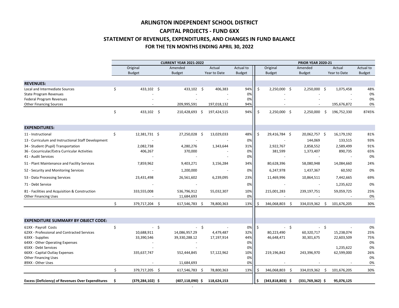|                                                                                      |     |                      |        | <b>CURRENT YEAR 2021-2022</b> |        |              |               |    |                      |        | <b>PRIOR YEAR 2020-21</b> |      |                      |               |
|--------------------------------------------------------------------------------------|-----|----------------------|--------|-------------------------------|--------|--------------|---------------|----|----------------------|--------|---------------------------|------|----------------------|---------------|
|                                                                                      |     | Original             |        | Amended                       |        | Actual       | Actual to     |    | Original             |        | Amended                   |      | Actual               | Actual to     |
|                                                                                      |     | <b>Budget</b>        |        | <b>Budget</b>                 |        | Year to Date | <b>Budget</b> |    | <b>Budget</b>        |        | <b>Budget</b>             |      | Year to Date         | <b>Budget</b> |
| <b>REVENUES:</b>                                                                     |     |                      |        |                               |        |              |               |    |                      |        |                           |      |                      |               |
| Local and Intermediate Sources                                                       | \$  | $433,102$ \$         |        | $433,102$ \$                  |        | 406,383      | 94%           | Ŝ. | $2,250,000$ \$       |        | 2,250,000                 | \$   | 1,075,458            | 48%           |
| <b>State Program Revenues</b>                                                        |     |                      |        |                               |        |              | 0%            |    |                      |        |                           |      |                      | 0%            |
| Federal Program Revenues                                                             |     |                      |        |                               |        |              | 0%            |    |                      |        |                           |      |                      | 0%            |
| <b>Other Financing Sources</b>                                                       |     |                      |        | 209,995,591                   |        | 197,018,132  | 94%           |    |                      |        |                           |      | 195,676,872          | 0%            |
|                                                                                      | \$  | $433,102$ \$         |        | 210,428,693 \$                |        | 197,424,515  | 94%           |    | $2,250,000$ \$       |        | 2,250,000                 | \$   | 196,752,330          | 8745%         |
| <b>EXPENDITURES:</b>                                                                 |     |                      |        |                               |        |              |               |    |                      |        |                           |      |                      |               |
| 11 - Instructional                                                                   | \$  | 12,381,731 \$        |        | 27,250,028 \$                 |        | 13,029,033   | 48%           | \$ | 29,416,784 \$        |        | 20,062,757 \$             |      | 16,179,192           | 81%           |
| 13 - Curriculum and Instructional Staff Development                                  |     |                      |        |                               |        |              | 0%            |    |                      |        | 144,069                   |      | 133,515              | 93%           |
|                                                                                      |     |                      |        |                               |        |              |               |    |                      |        |                           |      |                      | 91%           |
| 34 - Student (Pupil) Transportation<br>36 - Cocurricular/Extra Curricular Activities |     | 2,082,738<br>406,267 |        | 4,280,276<br>370,000          |        | 1,343,644    | 31%<br>0%     |    | 2,922,767<br>381,599 |        | 2,858,552<br>1,373,407    |      | 2,589,499<br>890,735 | 65%           |
| 41 - Audit Services                                                                  |     |                      |        |                               |        |              | 0%            |    |                      |        |                           |      |                      | 0%            |
| 51 - Plant Maintenance and Facility Services                                         |     | 7,859,962            |        | 9,403,271                     |        | 3,156,284    | 34%           |    | 80,628,396           |        | 58,080,948                |      | 14,084,660           | 24%           |
| 52 - Security and Monitoring Services                                                |     |                      |        | 1,200,000                     |        |              | 0%            |    | 6,247,978            |        | 1,437,367                 |      | 60,592               | 0%            |
| 53 - Data Processing Services                                                        |     | 23,431,498           |        | 26,561,602                    |        | 6,239,095    | 23%           |    | 11,469,996           |        | 10,864,511                |      | 7,442,665            | 69%           |
| 71 - Debt Service                                                                    |     |                      |        |                               |        |              | 0%            |    |                      |        |                           |      | 1,235,622            | 0%            |
| 81 - Facilities and Acquisition & Construction                                       |     | 333,555,008          |        | 536,796,912                   |        | 55,032,307   | 10%           |    | 215,001,283          |        | 239,197,751               |      | 59,059,725           | 25%           |
| <b>Other Financing Uses</b>                                                          |     |                      |        | 11,684,693                    |        |              | 0%            |    |                      |        |                           |      |                      | 0%            |
|                                                                                      | \$  | 379,717,204 \$       |        | 617,546,783 \$                |        | 78,800,363   | 13%           |    | 346,068,803          | -Ş     | 334,019,362               | Ş.   | 101,676,205          | 30%           |
| <b>EXPENDITURE SUMMARY BY OBJECT CODE:</b>                                           |     |                      |        |                               |        |              |               |    |                      |        |                           |      |                      |               |
|                                                                                      |     |                      |        |                               |        |              |               |    |                      |        |                           |      |                      |               |
| 61XX - Payroll Costs<br>62XX - Professional and Contracted Services                  | \$  | 10,688,911           | $-$ \$ | 14,086,957.29                 | $-$ \$ | 4,479,487    | 0%<br>32%     | \$ | 80,223,490           | $-$ \$ | 60,320,717                | - \$ | 15,238,074           | 0%<br>25%     |
| 63XX - Supplies                                                                      |     | 33,390,546           |        | 39,330,288.12                 |        | 17,197,914   | 44%           |    | 46,648,471           |        | 30,301,675                |      | 22,603,509           | 75%           |
| 64XX - Other Operating Expenses                                                      |     |                      |        |                               |        |              | 0%            |    |                      |        |                           |      |                      | 0%            |
| 65XX - Debt Services                                                                 |     |                      |        |                               |        |              | 0%            |    |                      |        |                           |      | 1,235,622            | 0%            |
| 66XX - Capital Outlay Expenses                                                       |     | 335,637,747          |        | 552,444,845                   |        | 57,122,962   | 10%           |    | 219,196,842          |        | 243,396,970               |      | 62,599,000           | 26%           |
| <b>Other Financing Uses</b>                                                          |     |                      |        |                               |        |              | 0%            |    |                      |        |                           |      |                      | 0%            |
| 89XX - Other Uses                                                                    |     |                      |        | 11,684,693                    |        |              | 0%            |    |                      |        |                           |      |                      | 0%            |
|                                                                                      |     | 379,717,205 \$       |        | 617,546,783 \$                |        | 78,800,363   | 13%           |    | 346,068,803          | -S     | 334,019,362               | S    | 101,676,205          | 30%           |
| <b>Excess (Deficiency) of Revenues Over Expenditures</b>                             | - Ş | $(379, 284, 102)$ \$ |        | $(407, 118, 090)$ \$          |        | 118,624,153  |               | -S | $(343,818,803)$ \$   |        | $(331,769,362)$ \$        |      | 95,076,125           |               |

- 1990 - 1990 - 1990 - 1990 - 1990 - 1990 - 1990 - 1990 - 1990 - 1990 - 1990 - 1990 - 1990 - 1990 - 1990 - 199

# **ARLINGTON INDEPENDENT SCHOOL DISTRICT CAPITAL PROJECTS - FUND 6XX STATEMENT OF REVENUES, EXPENDITURES, AND CHANGES IN FUND BALANCE FOR THE TEN MONTHS ENDING APRIL 30, 2022**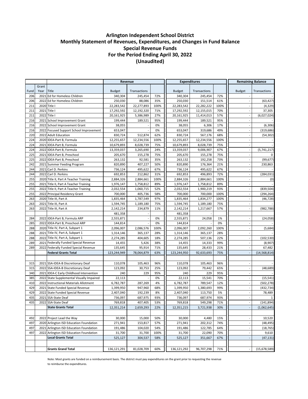|      |              |                                           | Revenue        |              |       | <b>Expenditures</b> |               | <b>Remaining Balance</b> |                          |                |
|------|--------------|-------------------------------------------|----------------|--------------|-------|---------------------|---------------|--------------------------|--------------------------|----------------|
|      | Grant        |                                           |                |              |       |                     |               |                          |                          |                |
| Fund | Year         | Title                                     | <b>Budget</b>  | Transactions |       | <b>Budget</b>       | Transactions  |                          | <b>Budget</b>            | Transactions   |
| 206  |              | 2021 Ed for Homeless Children             | 340,304        | 245,454      | 72%   | 340,304             | 245,454       | 72%                      |                          |                |
| 206  |              | 2022 Ed for Homeless Children             | 250,030        | 88,086       | 35%   | 250,030             | 151,514       | 61%                      |                          | (63, 427)      |
| 211  |              | 2020 Title I                              | 22,283,542     | 22,277,893   | 100%  | 22,283,542          | 22,282,222    | 100%                     |                          | (4, 329)       |
| 211  | 2021 Title I |                                           | 17,292,592     | 12,192,320   | 71%   | 17,292,592          | 12,155,015    | 70%                      |                          | 37,305         |
| 211  | 2022 Title I |                                           | 20,161,925     | 5,386,989    | 27%   | 20,161,925          | 11,414,013    | 57%                      |                          | (6,027,024)    |
| 216  |              | 2021 School Improvement Grant             | 199,444        | 189,521      | 95%   | 199,444             | 189,521       | 95%                      |                          |                |
| 216  |              | 2022 School Improvement Grant             | 38,055         |              | 0%    | 38,055              | 6,306         | 17%                      |                          | (6, 306)       |
| 216  |              | 2022 Focused Support School Improvement   | 653,047        |              | 0%    | 653,047             | 319,686       | 49%                      |                          | (319, 686)     |
| 220  |              | 2022 Adult Education                      | 830,724        | 512,874      | 62%   | 830,724             | 567,176       | 68%                      |                          | (54, 302)      |
| 224  |              | 2020 IDEA-Part B, Formula                 | 12,255,657     | 12,234,556   | 100%  | 12,255,657          | 12,234,556    | 100%                     |                          |                |
| 224  |              | 2021 IDEA-Part B, Formula                 | 10,679,893     | 8,028,739    | 75%   | 10,679,893          | 8,028,739     | 75%                      |                          |                |
| 224  |              | 2022 IDEA-Part B, Formula                 | 13,359,037     | 3,265,690    | 24%   | 13,359,037          | 9,006,907     | 67%                      |                          | (5,741,217)    |
| 225  |              | 2021 IDEA-Part B, Preschool               | 205,670        | 155,278      | 75%   | 205,670             | 155,278       | 75%                      |                          |                |
| 225  |              | 2022 IDEA-Part B, Preschool               | 263,132        | 92,581       | 35%   | 263,132             | 192,258       | 73%                      |                          | (99, 677)      |
| 242  |              | 2021 Summer Feeding Program               | 820,890        | 407,227      | 50%   | 820,890             | 176,364       | 21%                      |                          | 230,863        |
| 244  |              | 2021 Carl D. Perkins                      | 736,124        | 495,622      | 67%   | 736,124             | 495,622       | 67%                      |                          |                |
| 244  |              | 2022 Carl D. Perkins                      | 692,853        | 212,862      | 31%   | 692,853             | 496,893       | 72%                      |                          | (284, 031)     |
| 255  |              | 2020 Title II, Part A Teacher Training    | 2,884,326      | 2,884,661    | 100%  | 2,884,326           | 2,884,661     | 100%                     |                          | (0)            |
| 255  |              | 2021 Title II, Part A Teacher Training    | 1,976,147      | 1,758,812    | 89%   | 1,976,147           | 1,758,812     | 89%                      |                          |                |
| 255  |              | 2022 Title II, Part A Teacher Training    | 2,032,554      | 1,060,715    | 52%   | 2,032,554           | 1,900,219     | 93%                      |                          | (839, 504)     |
| 255  |              | 2022 Principal Residency Grant            | 700,000        | 405,736      | 58%   | 700,000             | 700,000       | 100%                     |                          | (294, 264)     |
| 263  |              | 2020 Title III, Part A                    | 1,835,464      | 1,787,549    | 97%   | 1,835,464           | 1,834,277     | 100%                     |                          | (46, 728)      |
| 263  |              | 2021 Title III, Part A                    | 1,594,745      | 1,189,180    | 75%   | 1,594,745           | 1,189,180     | 75%                      |                          |                |
| 263  |              | 2022 Title III, Part A                    | 2,142,214      | 234,879      | 11%   | 2,142,214           | 1,217,667     | 57%                      |                          | (982, 788)     |
|      |              |                                           | 481,358        |              |       | 481,358             |               |                          |                          |                |
| 284  |              | 2022 IDEA-Part B, Formula ARP             | 2,555,871      |              | $0\%$ | 2,555,871           | 24,058        | 1%                       |                          | (24,058)       |
| 285  |              | 2022 IDEA-Part B, Preschool ARP           | 144,814        |              | 0%    | 144,814             |               | 0%                       |                          |                |
| 288  |              | 2020 Title IV, Part A, Subpart 1          | 2,096,007      | 2,086,576    | 100%  | 2,096,007           | 2,092,260     | 100%                     |                          | (5,684)        |
| 288  |              | 2021 Title IV, Part A, Subpart 1          | 1,314,146      | 365,137      | 28%   | 1,314,146           | 365,137       | 28%                      |                          |                |
| 288  |              | 2022 Title IV, Part A, Subpart 1          | 2,274,285      | 404,605      | 18%   | 2,274,285           | 507,136       | 22%                      |                          | (102, 530)     |
| 289  |              | 2021 Federally Funded Special Revenue     | 14,455         | 5,426        | 38%   | 14,455              | 14,333        | 99%                      |                          | (8,907)        |
| 289  |              | 2022 Federally Funded Special Revenue     | 135,645        | 95,914       | 71%   | 135,645             | 28,433        | 21%                      |                          | 67,482         |
|      |              | <b>Federal Grants Total</b>               | 123,244,949    | 78,064,879   | 63%   | 123,244,950         | 92,633,693    | 75%                      |                          | (14, 568, 814) |
|      |              |                                           |                |              |       |                     |               |                          |                          |                |
| 315  |              | 2021 SSA-IDEA-B Discretionary Deaf        | 110,078        | 105,463      | 96%   | 110,078             | 105,463       | 96%                      |                          |                |
| 315  |              | 2022 SSA-IDEA-B Discretionary Deaf        |                |              | 25%   |                     |               | 65%                      |                          |                |
| 340  |              | 2021 IDEA-C Early Childhood Intervention  | 123,092<br>240 | 30,753       | 95%   | 123,092<br>240      | 79,442<br>229 | 95%                      |                          | (48, 689)      |
|      |              |                                           |                | 229          |       |                     |               |                          |                          |                |
| 385  |              | 2022 State Supplemental Visually Impaired | 22,113         |              | 0%    | 22,113              | 15,541        | 70%                      |                          | (15, 541)      |
| 410  |              | 2022 Instructional Materials Allotment    | 6,782,787      | 287,269      | 4%    | 6,782,787           | 789,547       | 12%                      |                          | (502, 278)     |
| 429  |              | 2021 State Funded Special Revenue         | 1,399,950      | 947,960      | 68%   | 1,399,950           | 1,380,693     | 99%                      |                          | (432, 734)     |
| 429  |              | 2022 State Funded Special Revenue         | 2,407,040      | 192,239      | 8%    | 2,407,040           | 113,750       | 5%                       |                          | 78,489         |
| 435  |              | 2021 SSA-State Deaf                       | 736,097        | 687,975      | 93%   | 736,097             | 687,974       | 93%                      |                          |                |
| 435  |              | 2022 SSA-State Deaf                       | 769,818        | 407,405      | 53%   | 769,818             | 549,298       | 71%                      |                          | (141, 894)     |
|      |              | <b>State Grants Total</b>                 | 12,351,214     | 2,659,293    | 22%   | 12,351,215          | 3,721,938     | 30%                      |                          | (1,062,645)    |
|      |              |                                           |                |              |       |                     |               |                          |                          |                |
| 492  |              | 2022 Project Lead the Way                 | 30,000         | 15,000       | 50%   | 30,000              | 4,480         | 15%                      |                          | 10,520         |
| 497  |              | 2020 Arlington ISD Education Foundation   | 271,941        | 153,817      | 57%   | 271,941             | 202,312       | 74%                      |                          | (48, 495)      |
| 497  |              | 2021 Arlington ISD Education Foundation   | 191,486        | 104,020      | 54%   | 191,486             | 122,785       | 64%                      |                          | (18, 765)      |
| 497  |              | 2022 Arlington ISD Education Foundation   | 31,700         | 31,700       | 100%  | 31,700              | 22,090        | 70%                      |                          | 9,610          |
|      |              | <b>Local Grants Total</b>                 | 525,127        | 304,537      | 58%   | 525,127             | 351,667       | 67%                      |                          | (47, 131)      |
|      |              |                                           |                |              |       |                     |               |                          |                          |                |
|      |              | <b>Grants Grand Total</b>                 | 136,121,291    | 81,028,709   | 60%   | 136,121,292         | 96,707,298    | 71%                      | $\overline{\phantom{a}}$ | (15,678,589)   |

Note: Most grants are funded on a reimbursement basis. The district must pay expenditures on the grant prior to requesting the revenue

to reimburse the expenditures.

### **Arlington Independent School District Monthly Statement of Revenues, Expenditures, and Changes in Fund Balance Special Revenue Funds For the Period Ending April 30, 2022 (Unaudited)**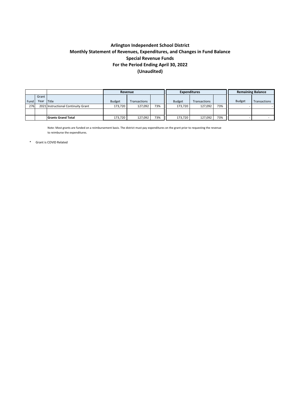|      |       |                                     | Revenue       |              |     |               | <b>Expenditures</b> | <b>Remaining Balance</b> |               |              |
|------|-------|-------------------------------------|---------------|--------------|-----|---------------|---------------------|--------------------------|---------------|--------------|
|      | Grant |                                     |               |              |     |               |                     |                          |               |              |
| Fund | Year  | <b>Title</b>                        | <b>Budget</b> | Transactions |     | <b>Budget</b> | <b>Transactions</b> |                          | <b>Budget</b> | Transactions |
| 276  |       | 2021 Instructional Continuity Grant | 173,720       | 127,092      | 73% | 173,720       | 127,092             | 73%                      |               |              |
|      |       |                                     |               |              |     |               |                     |                          |               |              |
|      |       | <b>Grants Grand Total</b>           | 173,720       | 127,092      | 73% | 173,720       | 127,092             | 73%                      |               |              |

Note: Most grants are funded on a reimbursement basis. The district must pay expenditures on the grant prior to requesting the revenue to reimburse the expenditures.

\* Grant is COVID Related

### **Arlington Independent School District Monthly Statement of Revenues, Expenditures, and Changes in Fund Balance Special Revenue Funds For the Period Ending April 30, 2022 (Unaudited)**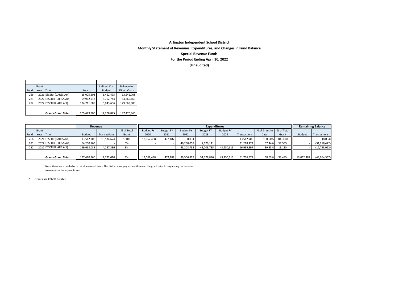|      | Grant |                           |             | <b>Indirect Cost</b> | Balance for         |
|------|-------|---------------------------|-------------|----------------------|---------------------|
| Fund | Year  | <b>Title</b>              | Award       | <b>Budget</b>        | <b>Direct Costs</b> |
| 266  |       | 2021 ESSER I (CARES Act)  | 15,005,203  | 1,462,495            | 13,542,708          |
| 281  |       | 2022 ESSER II (CRRSA Act) | 59,962,913  | 5,702,744            | 54,260,169          |
| 282  |       | 2022 ESSER III (ARP Act)  | 134,711,689 | 5,043,606            | 129,668,083         |
|      |       |                           |             |                      |                     |
|      |       | <b>Grants Grand Total</b> | 209,679,805 | 12,208,845           | 197,470,960         |

|      | Revenue |                           |               |              |            |                  |                  | <b>Remaining Balance</b> |                  |                  |              |                            |         |               |                |
|------|---------|---------------------------|---------------|--------------|------------|------------------|------------------|--------------------------|------------------|------------------|--------------|----------------------------|---------|---------------|----------------|
|      | Grant   |                           |               |              | % of Total | <b>Budget FY</b> | <b>Budget FY</b> | <b>Budget FY</b>         | <b>Budget FY</b> | <b>Budget FY</b> |              | % of Grant to   % of Total |         |               |                |
| Fund | Year    | <b>Title</b>              | <b>Budget</b> | Transactions | Grant      | 2020             | 2021             | 2022                     | 2023             | 2024             | Transactions | Date                       | Grant   | <b>Budget</b> | Transactions   |
| 266  |         | 2021 ESSER I (CARES Act)  | 13,542,708    | 13,534,674   | 100%       | 13,062,488       | 472,187          | 8,034                    |                  |                  | 13,542,708   | 100.00%                    | 100.00% |               | (8,034)        |
| 281  |         | 2022 ESSER II (CRRSA Act) | 54,260,169    |              | 0%         |                  |                  | 46,290,058               | 7,970,111        |                  | 31,218,472   | 67.44%                     | 57.53%  |               | (31, 218, 472) |
| 282  |         | 2022 ESSER III (ARP Act)  | 129,668,083   | 4,257,336    | 3%         |                  |                  | 43,208,735               | 43,208,735       | 43,250,613       | 16,995,397   | 39.33%                     | 13.11%  |               | (12, 738, 062) |
|      |         |                           |               |              |            |                  |                  |                          |                  |                  |              |                            |         |               |                |
|      |         | <b>Grants Grand Total</b> | 197,470,960   | 17,792,010   | 9%         | 13,062,488       | 472,187          | 89,506,827               | 51,178,846       | 43,250,613       | 61,756,577   | 68.63%                     | 33.49%  | 13,062,487    | (43, 964, 567) |

Note: Grants are funded on a reimbursement basis. The district must pay expenditures on the grant prior to requesting the revenue to reimburse the expenditures.

\* Grants are COVID Related

### **Arlington Independent School District**

**Monthly Statement of Revenues, Expenditures, and Changes in Fund Balance Special Revenue Funds**

**For the Period Ending April 30, 2022**

**(Unaudited)**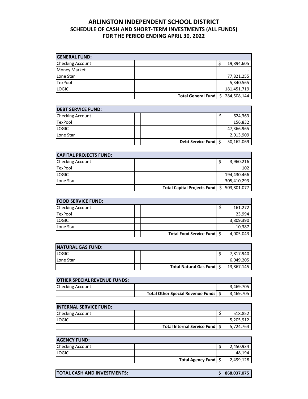#### **ARLINGTON INDEPENDENT SCHOOL DISTRICT SCHEDULE OF CASH AND SHORT-TERM INVESTMENTS (ALL FUNDS) FOR THE PERIOD ENDING APRIL 30, 2022**

| <b>GENERAL FUND:</b>    |                       |             |
|-------------------------|-----------------------|-------------|
| <b>Checking Account</b> |                       | 19,894,605  |
| <b>Money Market</b>     |                       |             |
| Lone Star               |                       | 77,821,255  |
| TexPool                 |                       | 5,340,565   |
| <b>LOGIC</b>            |                       | 181,451,719 |
|                         | Total General Fund \$ | 284,508,144 |

| <b>DEBT SERVICE FUND:</b> |                      |            |
|---------------------------|----------------------|------------|
| <b>Checking Account</b>   |                      | 624,363    |
| <b>TexPool</b>            |                      | 156,832    |
| <b>LOGIC</b>              |                      | 47,366,965 |
| Lone Star                 |                      | 2,013,909  |
|                           | Debt Service Fund \$ | 50,162,069 |

| <b>CAPITAL PROJECTS FUND:</b> |                                    |             |
|-------------------------------|------------------------------------|-------------|
| <b>Checking Account</b>       |                                    | 3,960,216   |
| <b>TexPool</b>                |                                    | 102         |
| <b>LOGIC</b>                  |                                    | 194,430,466 |
| Lone Star                     |                                    | 305,410,293 |
|                               | <b>Total Capital Projects Fund</b> | 503,801,077 |

| <b>FOOD SERVICE FUND:</b> |                              |           |
|---------------------------|------------------------------|-----------|
| <b>Checking Account</b>   |                              | 161,272   |
| <b>TexPool</b>            |                              | 23,994    |
| <b>LOGIC</b>              |                              | 3,809,390 |
| Lone Star                 |                              | 10,387    |
|                           | Total Food Service Fund   \$ | 4,005,043 |

| <b>NATURAL GAS FUND:</b> |                             |            |
|--------------------------|-----------------------------|------------|
| <b>LOGIC</b>             |                             | 7,817,940  |
| Lone Star                |                             | 6,049,205  |
|                          | Total Natural Gas Fund   \$ | 13,867,145 |

| <b>OTHER SPECIAL REVENUE FUNDS:</b> |                                   |           |
|-------------------------------------|-----------------------------------|-----------|
| <b>Checking Account</b>             |                                   | 3.469.705 |
|                                     | Total Other Special Revenue Funds | 3,469,705 |

| <b>INTERNAL SERVICE FUND:</b> |                                  |           |
|-------------------------------|----------------------------------|-----------|
| <b>Checking Account</b>       |                                  | 518.852   |
| <b>LOGIC</b>                  |                                  | 5,205,912 |
|                               | Total Internal Service Fund   \$ | 5,724,764 |

| <b>AGENCY FUND:</b>     |                        |           |
|-------------------------|------------------------|-----------|
| <b>Checking Account</b> |                        | 2,450,934 |
| <b>LOGIC</b>            |                        | 48.194    |
|                         | Total Agency Fund   \$ | 2,499,128 |

| <b>TOTAL CASH AND INVESTMENTS:</b><br>\$868,037,075 |
|-----------------------------------------------------|
|-----------------------------------------------------|